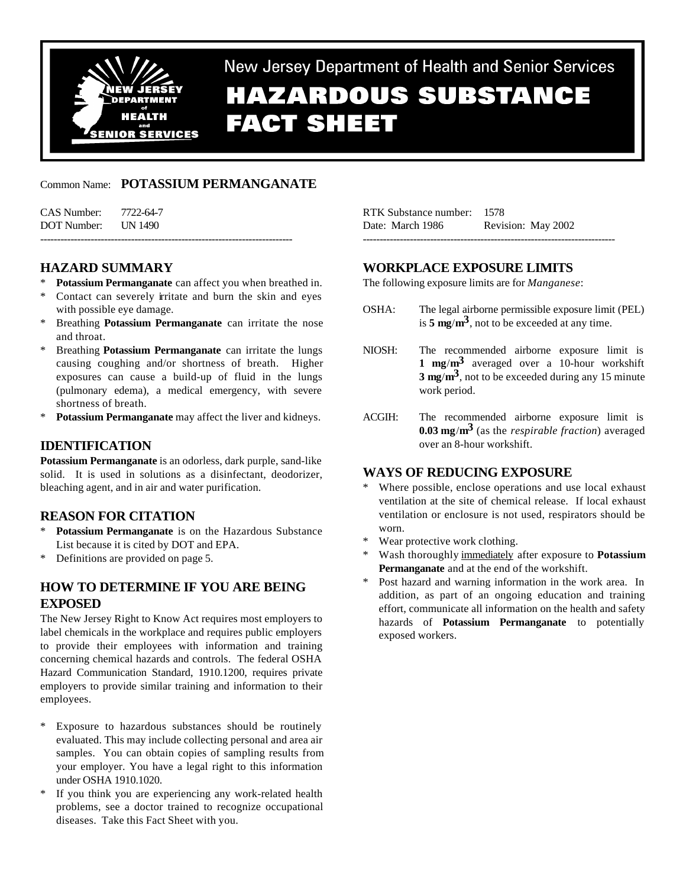

New Jersey Department of Health and Senior Services **HAZARDOUS SUBSTANCE FACT SHEET** 

# Common Name: **POTASSIUM PERMANGANATE**

| CAS Number: 7722-64-7 |  |
|-----------------------|--|
| DOT Number: UN 1490   |  |
|                       |  |

# **HAZARD SUMMARY**

- Potassium Permanganate can affect you when breathed in.
- \* Contact can severely irritate and burn the skin and eyes with possible eye damage.
- Breathing **Potassium Permanganate** can irritate the nose and throat.
- Breathing **Potassium Permanganate** can irritate the lungs causing coughing and/or shortness of breath. Higher exposures can cause a build-up of fluid in the lungs (pulmonary edema), a medical emergency, with severe shortness of breath.
- \* **Potassium Permanganate** may affect the liver and kidneys.

## **IDENTIFICATION**

**Potassium Permanganate** is an odorless, dark purple, sand-like solid. It is used in solutions as a disinfectant, deodorizer, bleaching agent, and in air and water purification.

## **REASON FOR CITATION**

- Potassium Permanganate is on the Hazardous Substance List because it is cited by DOT and EPA.
- \* Definitions are provided on page 5.

# **HOW TO DETERMINE IF YOU ARE BEING EXPOSED**

The New Jersey Right to Know Act requires most employers to label chemicals in the workplace and requires public employers to provide their employees with information and training concerning chemical hazards and controls. The federal OSHA Hazard Communication Standard, 1910.1200, requires private employers to provide similar training and information to their employees.

- \* Exposure to hazardous substances should be routinely evaluated. This may include collecting personal and area air samples. You can obtain copies of sampling results from your employer. You have a legal right to this information under OSHA 1910.1020.
- \* If you think you are experiencing any work-related health problems, see a doctor trained to recognize occupational diseases. Take this Fact Sheet with you.

| RTK Substance number: 1578 |                    |
|----------------------------|--------------------|
| Date: March 1986           | Revision: May 2002 |
|                            |                    |

# **WORKPLACE EXPOSURE LIMITS**

The following exposure limits are for *Manganese*:

- OSHA: The legal airborne permissible exposure limit (PEL) is **5 mg**/**m3**, not to be exceeded at any time.
- NIOSH: The recommended airborne exposure limit is **1 mg**/**m3** averaged over a 10-hour workshift **3 mg**/**m3**, not to be exceeded during any 15 minute work period.
- ACGIH: The recommended airborne exposure limit is **0.03 mg**/**m3** (as the *respirable fraction*) averaged over an 8-hour workshift.

## **WAYS OF REDUCING EXPOSURE**

- Where possible, enclose operations and use local exhaust ventilation at the site of chemical release. If local exhaust ventilation or enclosure is not used, respirators should be worn.
- Wear protective work clothing.
- \* Wash thoroughly immediately after exposure to **Potassium Permanganate** and at the end of the workshift.
- \* Post hazard and warning information in the work area. In addition, as part of an ongoing education and training effort, communicate all information on the health and safety hazards of **Potassium Permanganate** to potentially exposed workers.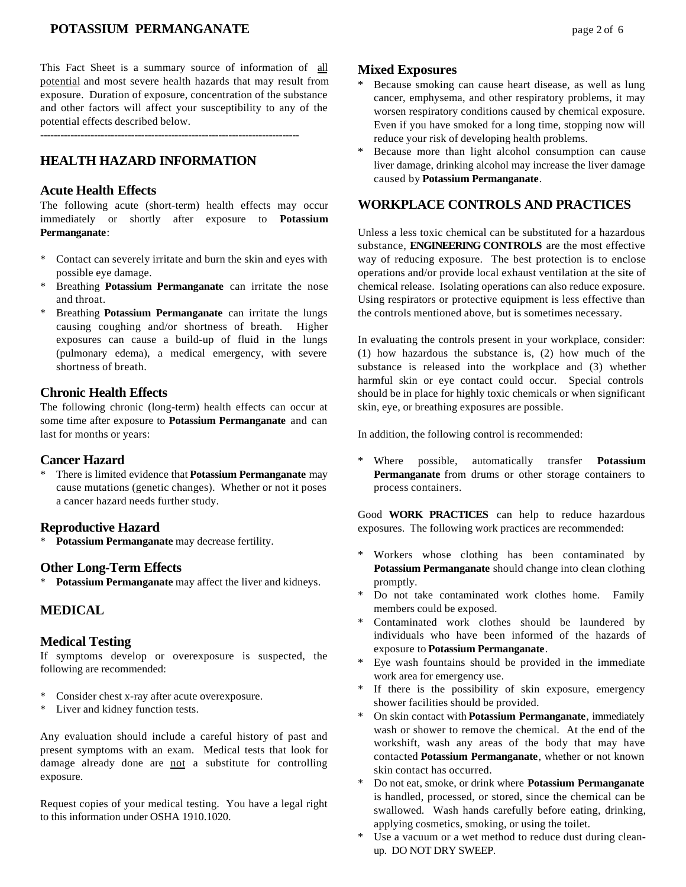## **POTASSIUM PERMANGANATE** page 2 of 6

This Fact Sheet is a summary source of information of all potential and most severe health hazards that may result from exposure. Duration of exposure, concentration of the substance and other factors will affect your susceptibility to any of the potential effects described below.

-----------------------------------------------------------------------------

# **HEALTH HAZARD INFORMATION**

## **Acute Health Effects**

The following acute (short-term) health effects may occur immediately or shortly after exposure to **Potassium Permanganate**:

- \* Contact can severely irritate and burn the skin and eyes with possible eye damage.
- \* Breathing **Potassium Permanganate** can irritate the nose and throat.
- \* Breathing **Potassium Permanganate** can irritate the lungs causing coughing and/or shortness of breath. Higher exposures can cause a build-up of fluid in the lungs (pulmonary edema), a medical emergency, with severe shortness of breath.

### **Chronic Health Effects**

The following chronic (long-term) health effects can occur at some time after exposure to **Potassium Permanganate** and can last for months or years:

### **Cancer Hazard**

\* There is limited evidence that **Potassium Permanganate** may cause mutations (genetic changes). Whether or not it poses a cancer hazard needs further study.

#### **Reproductive Hazard**

\* **Potassium Permanganate** may decrease fertility.

#### **Other Long-Term Effects**

\* **Potassium Permanganate** may affect the liver and kidneys.

### **MEDICAL**

#### **Medical Testing**

If symptoms develop or overexposure is suspected, the following are recommended:

- \* Consider chest x-ray after acute overexposure.
- \* Liver and kidney function tests.

Any evaluation should include a careful history of past and present symptoms with an exam. Medical tests that look for damage already done are not a substitute for controlling exposure.

Request copies of your medical testing. You have a legal right to this information under OSHA 1910.1020.

#### **Mixed Exposures**

- Because smoking can cause heart disease, as well as lung cancer, emphysema, and other respiratory problems, it may worsen respiratory conditions caused by chemical exposure. Even if you have smoked for a long time, stopping now will reduce your risk of developing health problems.
- Because more than light alcohol consumption can cause liver damage, drinking alcohol may increase the liver damage caused by **Potassium Permanganate**.

#### **WORKPLACE CONTROLS AND PRACTICES**

Unless a less toxic chemical can be substituted for a hazardous substance, **ENGINEERING CONTROLS** are the most effective way of reducing exposure. The best protection is to enclose operations and/or provide local exhaust ventilation at the site of chemical release. Isolating operations can also reduce exposure. Using respirators or protective equipment is less effective than the controls mentioned above, but is sometimes necessary.

In evaluating the controls present in your workplace, consider: (1) how hazardous the substance is, (2) how much of the substance is released into the workplace and (3) whether harmful skin or eye contact could occur. Special controls should be in place for highly toxic chemicals or when significant skin, eye, or breathing exposures are possible.

In addition, the following control is recommended:

\* Where possible, automatically transfer **Potassium Permanganate** from drums or other storage containers to process containers.

Good **WORK PRACTICES** can help to reduce hazardous exposures. The following work practices are recommended:

- \* Workers whose clothing has been contaminated by **Potassium Permanganate** should change into clean clothing promptly.
- \* Do not take contaminated work clothes home. Family members could be exposed.
- \* Contaminated work clothes should be laundered by individuals who have been informed of the hazards of exposure to **Potassium Permanganate**.
- \* Eye wash fountains should be provided in the immediate work area for emergency use.
- \* If there is the possibility of skin exposure, emergency shower facilities should be provided.
- \* On skin contact with **Potassium Permanganate**, immediately wash or shower to remove the chemical. At the end of the workshift, wash any areas of the body that may have contacted **Potassium Permanganate**, whether or not known skin contact has occurred.
- \* Do not eat, smoke, or drink where **Potassium Permanganate** is handled, processed, or stored, since the chemical can be swallowed. Wash hands carefully before eating, drinking, applying cosmetics, smoking, or using the toilet.
- Use a vacuum or a wet method to reduce dust during cleanup. DO NOT DRY SWEEP.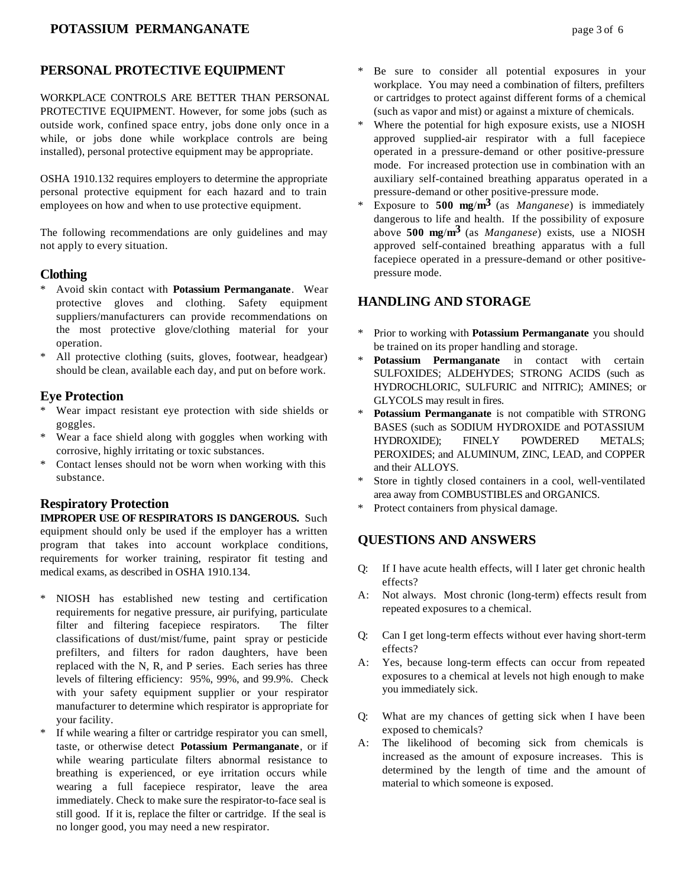## **PERSONAL PROTECTIVE EQUIPMENT**

WORKPLACE CONTROLS ARE BETTER THAN PERSONAL PROTECTIVE EQUIPMENT. However, for some jobs (such as outside work, confined space entry, jobs done only once in a while, or jobs done while workplace controls are being installed), personal protective equipment may be appropriate.

OSHA 1910.132 requires employers to determine the appropriate personal protective equipment for each hazard and to train employees on how and when to use protective equipment.

The following recommendations are only guidelines and may not apply to every situation.

#### **Clothing**

- \* Avoid skin contact with **Potassium Permanganate**. Wear protective gloves and clothing. Safety equipment suppliers/manufacturers can provide recommendations on the most protective glove/clothing material for your operation.
- \* All protective clothing (suits, gloves, footwear, headgear) should be clean, available each day, and put on before work.

## **Eye Protection**

- \* Wear impact resistant eye protection with side shields or goggles.
- Wear a face shield along with goggles when working with corrosive, highly irritating or toxic substances.
- \* Contact lenses should not be worn when working with this substance.

## **Respiratory Protection**

**IMPROPER USE OF RESPIRATORS IS DANGEROUS.** Such equipment should only be used if the employer has a written program that takes into account workplace conditions, requirements for worker training, respirator fit testing and medical exams, as described in OSHA 1910.134.

- \* NIOSH has established new testing and certification requirements for negative pressure, air purifying, particulate filter and filtering facepiece respirators. The filter classifications of dust/mist/fume, paint spray or pesticide prefilters, and filters for radon daughters, have been replaced with the N, R, and P series. Each series has three levels of filtering efficiency: 95%, 99%, and 99.9%. Check with your safety equipment supplier or your respirator manufacturer to determine which respirator is appropriate for your facility.
- If while wearing a filter or cartridge respirator you can smell, taste, or otherwise detect **Potassium Permanganate**, or if while wearing particulate filters abnormal resistance to breathing is experienced, or eye irritation occurs while wearing a full facepiece respirator, leave the area immediately. Check to make sure the respirator-to-face seal is still good. If it is, replace the filter or cartridge. If the seal is no longer good, you may need a new respirator.
- \* Be sure to consider all potential exposures in your workplace. You may need a combination of filters, prefilters or cartridges to protect against different forms of a chemical (such as vapor and mist) or against a mixture of chemicals.
- \* Where the potential for high exposure exists, use a NIOSH approved supplied-air respirator with a full facepiece operated in a pressure-demand or other positive-pressure mode. For increased protection use in combination with an auxiliary self-contained breathing apparatus operated in a pressure-demand or other positive-pressure mode.
- Exposure to **500 mg/m<sup>3</sup>** (as *Manganese*) is immediately dangerous to life and health. If the possibility of exposure above **500 mg**/**m3** (as *Manganese*) exists, use a NIOSH approved self-contained breathing apparatus with a full facepiece operated in a pressure-demand or other positivepressure mode.

## **HANDLING AND STORAGE**

- \* Prior to working with **Potassium Permanganate** you should be trained on its proper handling and storage.
- \* **Potassium Permanganate** in contact with certain SULFOXIDES; ALDEHYDES; STRONG ACIDS (such as HYDROCHLORIC, SULFURIC and NITRIC); AMINES; or GLYCOLS may result in fires.
- Potassium Permanganate is not compatible with STRONG BASES (such as SODIUM HYDROXIDE and POTASSIUM HYDROXIDE); FINELY POWDERED METALS; PEROXIDES; and ALUMINUM, ZINC, LEAD, and COPPER and their ALLOYS.
- Store in tightly closed containers in a cool, well-ventilated area away from COMBUSTIBLES and ORGANICS.
- Protect containers from physical damage.

## **QUESTIONS AND ANSWERS**

- Q: If I have acute health effects, will I later get chronic health effects?
- A: Not always. Most chronic (long-term) effects result from repeated exposures to a chemical.
- Q: Can I get long-term effects without ever having short-term effects?
- A: Yes, because long-term effects can occur from repeated exposures to a chemical at levels not high enough to make you immediately sick.
- Q: What are my chances of getting sick when I have been exposed to chemicals?
- A: The likelihood of becoming sick from chemicals is increased as the amount of exposure increases. This is determined by the length of time and the amount of material to which someone is exposed.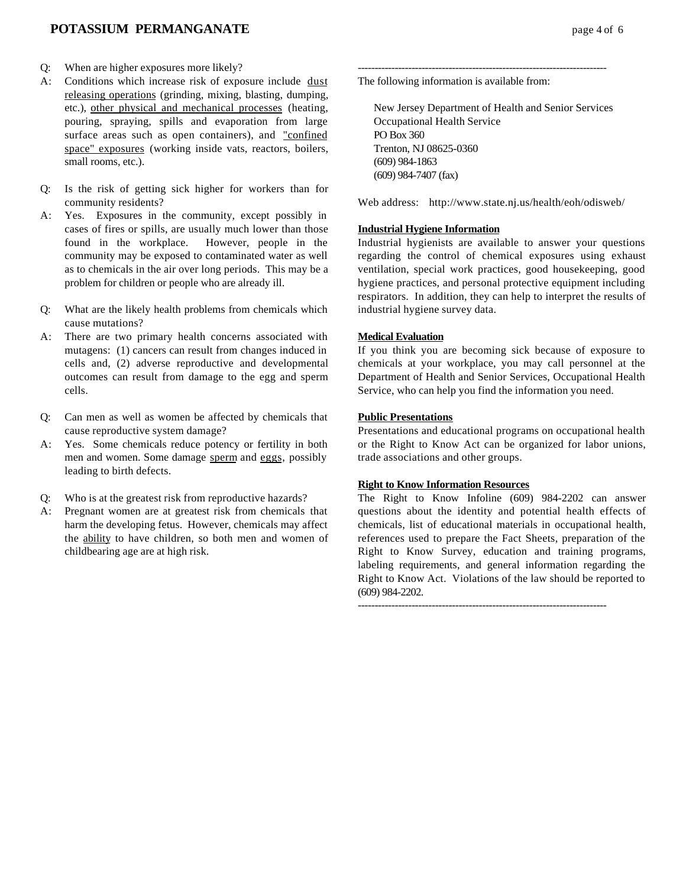## **POTASSIUM PERMANGANATE** page 4 of 6

- Q: When are higher exposures more likely?
- A: Conditions which increase risk of exposure include dust releasing operations (grinding, mixing, blasting, dumping, etc.), other physical and mechanical processes (heating, pouring, spraying, spills and evaporation from large surface areas such as open containers), and "confined space" exposures (working inside vats, reactors, boilers, small rooms, etc.).
- Q: Is the risk of getting sick higher for workers than for community residents?
- A: Yes. Exposures in the community, except possibly in cases of fires or spills, are usually much lower than those found in the workplace. However, people in the community may be exposed to contaminated water as well as to chemicals in the air over long periods. This may be a problem for children or people who are already ill.
- Q: What are the likely health problems from chemicals which cause mutations?
- A: There are two primary health concerns associated with mutagens: (1) cancers can result from changes induced in cells and, (2) adverse reproductive and developmental outcomes can result from damage to the egg and sperm cells.
- Q: Can men as well as women be affected by chemicals that cause reproductive system damage?
- A: Yes. Some chemicals reduce potency or fertility in both men and women. Some damage sperm and eggs, possibly leading to birth defects.
- Q: Who is at the greatest risk from reproductive hazards?
- A: Pregnant women are at greatest risk from chemicals that harm the developing fetus. However, chemicals may affect the ability to have children, so both men and women of childbearing age are at high risk.

-------------------------------------------------------------------------- The following information is available from:

New Jersey Department of Health and Senior Services Occupational Health Service PO Box 360 Trenton, NJ 08625-0360 (609) 984-1863 (609) 984-7407 (fax)

Web address: http://www.state.nj.us/health/eoh/odisweb/

#### **Industrial Hygiene Information**

Industrial hygienists are available to answer your questions regarding the control of chemical exposures using exhaust ventilation, special work practices, good housekeeping, good hygiene practices, and personal protective equipment including respirators. In addition, they can help to interpret the results of industrial hygiene survey data.

#### **Medical Evaluation**

If you think you are becoming sick because of exposure to chemicals at your workplace, you may call personnel at the Department of Health and Senior Services, Occupational Health Service, who can help you find the information you need.

#### **Public Presentations**

Presentations and educational programs on occupational health or the Right to Know Act can be organized for labor unions, trade associations and other groups.

#### **Right to Know Information Resources**

The Right to Know Infoline (609) 984-2202 can answer questions about the identity and potential health effects of chemicals, list of educational materials in occupational health, references used to prepare the Fact Sheets, preparation of the Right to Know Survey, education and training programs, labeling requirements, and general information regarding the Right to Know Act. Violations of the law should be reported to (609) 984-2202.

--------------------------------------------------------------------------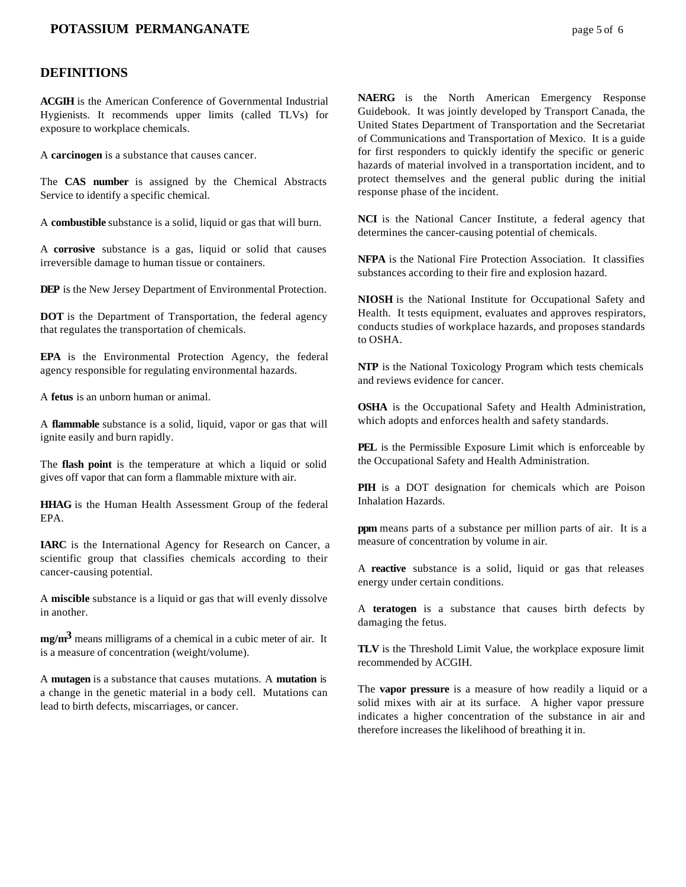## **POTASSIUM PERMANGANATE** page 5 of 6

### **DEFINITIONS**

**ACGIH** is the American Conference of Governmental Industrial Hygienists. It recommends upper limits (called TLVs) for exposure to workplace chemicals.

A **carcinogen** is a substance that causes cancer.

The **CAS number** is assigned by the Chemical Abstracts Service to identify a specific chemical.

A **combustible** substance is a solid, liquid or gas that will burn.

A **corrosive** substance is a gas, liquid or solid that causes irreversible damage to human tissue or containers.

**DEP** is the New Jersey Department of Environmental Protection.

**DOT** is the Department of Transportation, the federal agency that regulates the transportation of chemicals.

**EPA** is the Environmental Protection Agency, the federal agency responsible for regulating environmental hazards.

A **fetus** is an unborn human or animal.

A **flammable** substance is a solid, liquid, vapor or gas that will ignite easily and burn rapidly.

The **flash point** is the temperature at which a liquid or solid gives off vapor that can form a flammable mixture with air.

**HHAG** is the Human Health Assessment Group of the federal EPA.

**IARC** is the International Agency for Research on Cancer, a scientific group that classifies chemicals according to their cancer-causing potential.

A **miscible** substance is a liquid or gas that will evenly dissolve in another.

**mg/m3** means milligrams of a chemical in a cubic meter of air. It is a measure of concentration (weight/volume).

A **mutagen** is a substance that causes mutations. A **mutation** is a change in the genetic material in a body cell. Mutations can lead to birth defects, miscarriages, or cancer.

**NAERG** is the North American Emergency Response Guidebook. It was jointly developed by Transport Canada, the United States Department of Transportation and the Secretariat of Communications and Transportation of Mexico. It is a guide for first responders to quickly identify the specific or generic hazards of material involved in a transportation incident, and to protect themselves and the general public during the initial response phase of the incident.

**NCI** is the National Cancer Institute, a federal agency that determines the cancer-causing potential of chemicals.

**NFPA** is the National Fire Protection Association. It classifies substances according to their fire and explosion hazard.

**NIOSH** is the National Institute for Occupational Safety and Health. It tests equipment, evaluates and approves respirators, conducts studies of workplace hazards, and proposes standards to OSHA.

**NTP** is the National Toxicology Program which tests chemicals and reviews evidence for cancer.

**OSHA** is the Occupational Safety and Health Administration, which adopts and enforces health and safety standards.

**PEL** is the Permissible Exposure Limit which is enforceable by the Occupational Safety and Health Administration.

**PIH** is a DOT designation for chemicals which are Poison Inhalation Hazards.

**ppm** means parts of a substance per million parts of air. It is a measure of concentration by volume in air.

A **reactive** substance is a solid, liquid or gas that releases energy under certain conditions.

A **teratogen** is a substance that causes birth defects by damaging the fetus.

**TLV** is the Threshold Limit Value, the workplace exposure limit recommended by ACGIH.

The **vapor pressure** is a measure of how readily a liquid or a solid mixes with air at its surface. A higher vapor pressure indicates a higher concentration of the substance in air and therefore increases the likelihood of breathing it in.